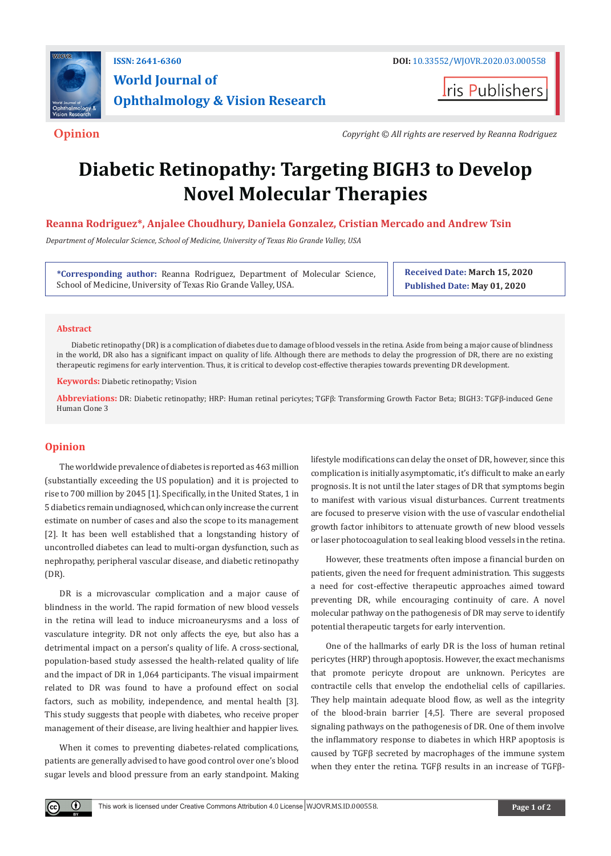

## **ISSN: 2641-6360 DOI:** [10.33552/WJOVR.2020.03.000558](http://dx.doi.org/10.33552/WJOVR.2020.03.000558) **World Journal of Ophthalmology & Vision Research**

**Iris Publishers** 

**Opinion** *Copyright © All rights are reserved by Reanna Rodriguez*

# **Diabetic Retinopathy: Targeting BIGH3 to Develop Novel Molecular Therapies**

### **Reanna Rodriguez\*, Anjalee Choudhury, Daniela Gonzalez, Cristian Mercado and Andrew Tsin**

*Department of Molecular Science, School of Medicine, University of Texas Rio Grande Valley, USA*

**\*Corresponding author:** Reanna Rodriguez, Department of Molecular Science, School of Medicine, University of Texas Rio Grande Valley, USA.

**Received Date: March 15, 2020 Published Date: May 01, 2020**

#### **Abstract**

Diabetic retinopathy (DR) is a complication of diabetes due to damage of blood vessels in the retina. Aside from being a major cause of blindness in the world, DR also has a significant impact on quality of life. Although there are methods to delay the progression of DR, there are no existing therapeutic regimens for early intervention. Thus, it is critical to develop cost-effective therapies towards preventing DR development.

**Keywords:** Diabetic retinopathy; Vision

**Abbreviations:** DR: Diabetic retinopathy; HRP: Human retinal pericytes; TGFβ: Transforming Growth Factor Beta; BIGH3: TGFβ-induced Gene Human Clone 3

#### **Opinion**

 $\odot$ 

The worldwide prevalence of diabetes is reported as 463 million (substantially exceeding the US population) and it is projected to rise to 700 million by 2045 [1]. Specifically, in the United States, 1 in 5 diabetics remain undiagnosed, which can only increase the current estimate on number of cases and also the scope to its management [2]. It has been well established that a longstanding history of uncontrolled diabetes can lead to multi-organ dysfunction, such as nephropathy, peripheral vascular disease, and diabetic retinopathy (DR).

DR is a microvascular complication and a major cause of blindness in the world. The rapid formation of new blood vessels in the retina will lead to induce microaneurysms and a loss of vasculature integrity. DR not only affects the eye, but also has a detrimental impact on a person's quality of life. A cross-sectional, population-based study assessed the health-related quality of life and the impact of DR in 1,064 participants. The visual impairment related to DR was found to have a profound effect on social factors, such as mobility, independence, and mental health [3]. This study suggests that people with diabetes, who receive proper management of their disease, are living healthier and happier lives.

When it comes to preventing diabetes-related complications, patients are generally advised to have good control over one's blood sugar levels and blood pressure from an early standpoint. Making lifestyle modifications can delay the onset of DR, however, since this complication is initially asymptomatic, it's difficult to make an early prognosis. It is not until the later stages of DR that symptoms begin to manifest with various visual disturbances. Current treatments are focused to preserve vision with the use of vascular endothelial growth factor inhibitors to attenuate growth of new blood vessels or laser photocoagulation to seal leaking blood vessels in the retina.

However, these treatments often impose a financial burden on patients, given the need for frequent administration. This suggests a need for cost-effective therapeutic approaches aimed toward preventing DR, while encouraging continuity of care. A novel molecular pathway on the pathogenesis of DR may serve to identify potential therapeutic targets for early intervention.

One of the hallmarks of early DR is the loss of human retinal pericytes (HRP) through apoptosis. However, the exact mechanisms that promote pericyte dropout are unknown. Pericytes are contractile cells that envelop the endothelial cells of capillaries. They help maintain adequate blood flow, as well as the integrity of the blood-brain barrier [4,5]. There are several proposed signaling pathways on the pathogenesis of DR. One of them involve the inflammatory response to diabetes in which HRP apoptosis is caused by TGFβ secreted by macrophages of the immune system when they enter the retina. TGFβ results in an increase of TGFβ